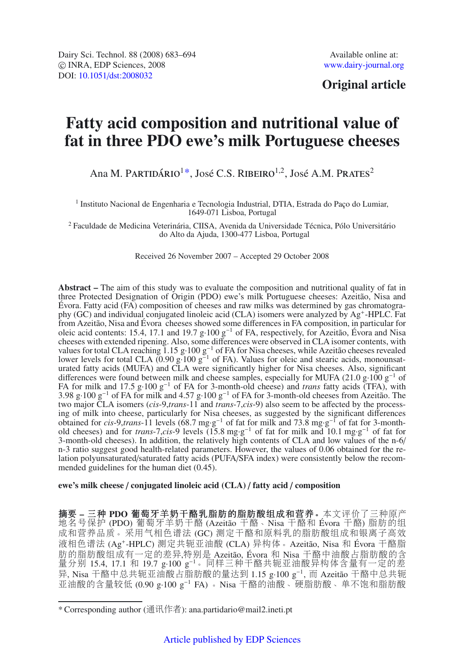# **Original article**

# **Fatty acid composition and nutritional value of fat in three PDO ewe's milk Portuguese cheeses**

Ana M. PARTIDÁRIO<sup>1\*</sup>, José C.S. RIBEIRO<sup>1,2</sup>, José A.M. PRATES<sup>2</sup>

<sup>1</sup> Instituto Nacional de Engenharia e Tecnologia Industrial, DTIA, Estrada do Paço do Lumiar, 1649-071 Lisboa, Portugal

<sup>2</sup> Faculdade de Medicina Veterinária, CIISA, Avenida da Universidade Técnica, Pólo Universitário do Alto da Ajuda, 1300-477 Lisboa, Portugal

Received 26 November 2007 – Accepted 29 October 2008

**Abstract –** The aim of this study was to evaluate the composition and nutritional quality of fat in three Protected Designation of Origin (PDO) ewe's milk Portuguese cheeses: Azeitão, Nisa and Évora. Fatty acid (FA) composition of cheeses and raw milks was determined by gas chromatography (GC) and individual conjugated linoleic acid (CLA) isomers were analyzed by Ag<sup>+</sup>-HPLC. Fat from Azeitão, Nisa and Évora cheeses showed some differences in FA composition, in particular for oleic acid contents: 15.4, 17.1 and 19.7 g·100 g−<sup>1</sup> of FA, respectively, for Azeitão, Évora and Nisa cheeses with extended ripening. Also, some differences were observed in CLA isomer contents, with values for total CLA reaching 1.15 g·100 g<sup>−1</sup> of FA for Nisa cheeses, while Azeitão cheeses revealed lower levels for total CLA (0.90 g·100 g<sup>-1</sup> of FA). Values for oleic and stearic acids, monounsat-<br>urated fatty acids (MUFA) and CLA were significantly higher for Nisa cheeses. Also, significant differences were found between milk and cheese samples, especially for MUFA (21.0 g·100 g−<sup>1</sup> of FA for milk and 17.5 g·100 g−<sup>1</sup> of FA for 3-month-old cheese) and *trans* fatty acids (TFA), with 3.98 g·100 g−<sup>1</sup> of FA for milk and 4.57 g·100 g−<sup>1</sup> of FA for 3-month-old cheeses from Azeitão. The two major CLA isomers (*cis*-9,*trans*-11 and *trans*-7,*cis*-9) also seem to be affected by the processing of milk into cheese, particularly for Nisa cheeses, as suggested by the significant differences obtained for *cis*-9,*trans*-11 levels (68.7 mg·g−<sup>1</sup> of fat for milk and 73.8 mg·g−<sup>1</sup> of fat for 3-monthold cheeses) and for *trans*-7,*cis*-9 levels (15.8 mg·g<sup>-1</sup> of fat for milk and 10.1 mg·g<sup>-1</sup> of fat for 3-month-old cheeses). In addition, the relatively high contents of CLA and low values of the n-6/ n-3 ratio suggest good health-related parameters. However, the values of 0.06 obtained for the relation polyunsaturated/saturated fatty acids (PUFA/SFA index) were consistently below the recommended guidelines for the human diet (0.45).

#### **ewe's milk cheese** / **conjugated linoleic acid (CLA)** / **fatty acid** / **composition**

摘要 **–** 三种 **PDO** 葡萄牙羊奶干酪乳脂肪的脂肪酸组成和营养。本文评价了三种原产 地名号保护 (PDO) 葡萄牙羊奶干酪 (Azeitão 干酪、Nisa 干酪和 Évora 干酪) 脂肪的组 成和营养品质。采用气相色谱法 (GC) 测定干酪和原料乳的脂肪酸组成和银离子高效 液相色谱法 (Ag<sup>+</sup>-HPLC) 测定共轭亚油酸 (CLA) 异构体。Azeitão, Nisa 和 Évora 干酪脂 肪的脂肪酸组成有一定的差异,特别是 Azeitão, Évora 和 Nisa 干酪中油酸占脂肪酸的含 量分别 15.4, 17.1 和 19.7 g·100 g<sup>−1</sup>。同样三种干酪共轭亚油酸异构体含量有一定的差 异, Nisa 干酪中总共轭亚油酸占脂肪酸的量达到 1.15 g·100 g−1, 而 Azeitão 干酪中总共轭 亚油酸的含量较低 (0.90 g·100 g−<sup>1</sup> FA) 。Nisa 干酪的油酸、硬脂肪酸、单不饱和脂肪酸

<sup>\*</sup> Corresponding author (通讯作者): ana.partidario@mail2.ineti.pt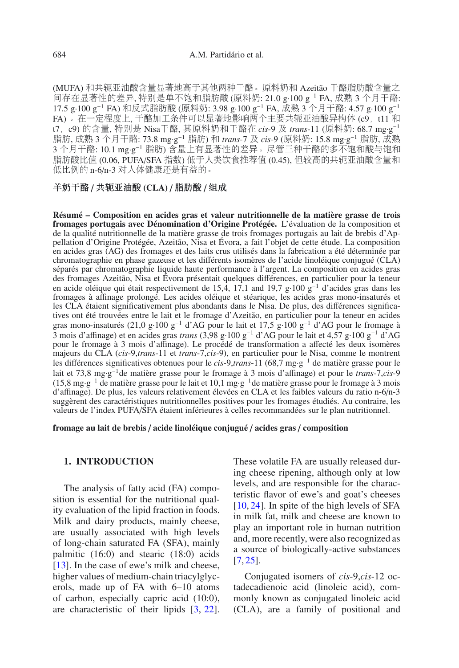(MUFA) 和共轭亚油酸含量显著地高于其他两种干酪。原料奶和 Azeitão 干酪脂肪酸含量之 间存在显著性的差异, 特别是单不饱和脂肪酸 (原料奶: 21.0 g·100 g−<sup>1</sup> FA, 成熟 3 个月干酪: 17.5 g·100 g−<sup>1</sup> FA) 和反式脂肪酸 (原料奶: 3.98 g·100 g−<sup>1</sup> FA, 成熟 3 个月干酪: 4.57 g·100 g−<sup>1</sup> FA) 。在一定程度上, 干酪加工条件可以显著地影响两个主要共轭亚油酸异构体 (c9,t11 和 t7,c9) 的含量, 特别是 Nisa干酪, 其原料奶和干酪在 *cis*-9 及 *trans*-11 (原料奶: 68.7 mg·g−<sup>1</sup> 脂肪, 成熟 3 个月干酪: 73.8 mg·g−<sup>1</sup> 脂肪) 和 *trans*-7 及 *cis*-9 (原料奶: 15.8 mg·g−<sup>1</sup> 脂肪, 成熟 3 个月干酪: 10.1 mg·g−<sup>1</sup> 脂肪) 含量上有显著性的差异。尽管三种干酪的多不饱和酸与饱和 脂肪酸比值 (0.06, PUFA/SFA 指数) 低于人类饮食推荐值 (0.45), 但较高的共轭亚油酸含量和 低比例的 n-6/n-3 对人体健康还是有益的。

#### 羊奶干酪 / 共轭亚油酸 **(CLA)** / 脂肪酸 / 组成

**Résumé – Composition en acides gras et valeur nutritionnelle de la matière grasse de trois fromages portugais avec Dénomination d'Origine Protégée.** L'évaluation de la composition et de la qualité nutritionnelle de la matière grasse de trois fromages portugais au lait de brebis d'Appellation d'Origine Protégée, Azeitão, Nisa et Évora, a fait l'objet de cette étude. La composition en acides gras (AG) des fromages et des laits crus utilisés dans la fabrication a été déterminée par chromatographie en phase gazeuse et les différents isomères de l'acide linoléique conjugué (CLA) séparés par chromatographie liquide haute performance à l'argent. La composition en acides gras des fromages Azeitão, Nisa et Évora présentait quelques différences, en particulier pour la teneur en acide oléique qui était respectivement de 15,4, 17,1 and 19,7 g·100 g<sup>−1</sup> d'acides gras dans les fromages à affinage prolongé. Les acides oléique et stéarique, les acides gras mono-insaturés et les CLA étaient significativement plus abondants dans le Nisa. De plus, des différences significatives ont été trouvées entre le lait et le fromage d'Azeitão, en particulier pour la teneur en acides gras mono-insaturés (21,0 g·100 g<sup>-1</sup> d'AG pour le lait et 17,5 g·100 g<sup>-1</sup> d'AG pour le fromage à 3 mois d'affinage) et en acides gras *trans* (3,98 g·100 g−<sup>1</sup> d'AG pour le lait et 4,57 g·100 g−<sup>1</sup> d'AG pour le fromage à 3 mois d'affinage). Le procédé de transformation a affecté les deux isomères majeurs du CLA (*cis*-9,*trans*-11 et *trans*-7,*cis*-9), en particulier pour le Nisa, comme le montrent les différences significatives obtenues pour le *cis*-9,*trans*-11 (68,7 mg·g−<sup>1</sup> de matière grasse pour le lait et 73,8 mg·g−1de matière grasse pour le fromage à 3 mois d'affinage) et pour le *trans*-7,*cis*-9 (15,8 mg·g−<sup>1</sup> de matière grasse pour le lait et 10,1 mg·g−1de matière grasse pour le fromage à 3 mois d'affinage). De plus, les valeurs relativement élevées en CLA et les faibles valeurs du ratio n-6/n-3 suggèrent des caractéristiques nutritionnelles positives pour les fromages étudiés. Au contraire, les valeurs de l'index PUFA/SFA étaient inférieures à celles recommandées sur le plan nutritionnel.

**fromage au lait de brebis** / **acide linoléique conjugué** / **acides gras** / **composition**

### **1. INTRODUCTION**

The analysis of fatty acid (FA) composition is essential for the nutritional quality evaluation of the lipid fraction in foods. Milk and dairy products, mainly cheese, are usually associated with high levels of long-chain saturated FA (SFA), mainly palmitic (16:0) and stearic (18:0) acids [\[13](#page-10-0)]. In the case of ewe's milk and cheese, higher values of medium-chain triacylglycerols, made up of FA with 6–10 atoms of carbon, especially capric acid (10:0), are characteristic of their lipids [\[3,](#page-9-0) [22](#page-10-1)]. These volatile FA are usually released during cheese ripening, although only at low levels, and are responsible for the characteristic flavor of ewe's and goat's cheeses [\[10,](#page-10-2) [24\]](#page-10-3). In spite of the high levels of SFA in milk fat, milk and cheese are known to play an important role in human nutrition and, more recently, were also recognized as a source of biologically-active substances  $[7, 25]$  $[7, 25]$  $[7, 25]$  $[7, 25]$ .

Conjugated isomers of *cis*-9,*cis*-12 octadecadienoic acid (linoleic acid), commonly known as conjugated linoleic acid (CLA), are a family of positional and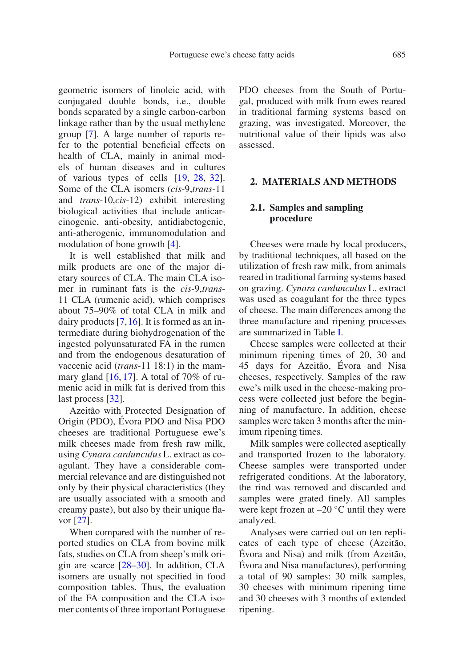geometric isomers of linoleic acid, with conjugated double bonds, i.e., double bonds separated by a single carbon-carbon linkage rather than by the usual methylene group [\[7](#page-10-4)]. A large number of reports refer to the potential beneficial effects on health of CLA, mainly in animal models of human diseases and in cultures of various types of cells [\[19,](#page-10-6) [28](#page-11-0), [32\]](#page-11-1). Some of the CLA isomers (*cis*-9,*trans*-11 and *trans*-10,*cis*-12) exhibit interesting biological activities that include anticarcinogenic, anti-obesity, antidiabetogenic, anti-atherogenic, immunomodulation and modulation of bone growth [\[4\]](#page-9-1).

It is well established that milk and milk products are one of the major dietary sources of CLA. The main CLA isomer in ruminant fats is the *cis*-9,*trans*-11 CLA (rumenic acid), which comprises about 75–90% of total CLA in milk and dairy products  $[7, 16]$  $[7, 16]$ . It is formed as an intermediate during biohydrogenation of the ingested polyunsaturated FA in the rumen and from the endogenous desaturation of vaccenic acid (*trans*-11 18:1) in the mammary gland  $[16, 17]$  $[16, 17]$  $[16, 17]$  $[16, 17]$ . A total of 70% of rumenic acid in milk fat is derived from this last process [\[32\]](#page-11-1).

Azeitão with Protected Designation of Origin (PDO), Évora PDO and Nisa PDO cheeses are traditional Portuguese ewe's milk cheeses made from fresh raw milk, using *Cynara cardunculus* L. extract as coagulant. They have a considerable commercial relevance and are distinguished not only by their physical characteristics (they are usually associated with a smooth and creamy paste), but also by their unique flavor [\[27\]](#page-10-9).

When compared with the number of reported studies on CLA from bovine milk fats, studies on CLA from sheep's milk origin are scarce [\[28](#page-11-0)[–30](#page-11-2)]. In addition, CLA isomers are usually not specified in food composition tables. Thus, the evaluation of the FA composition and the CLA isomer contents of three important Portuguese PDO cheeses from the South of Portugal, produced with milk from ewes reared in traditional farming systems based on grazing, was investigated. Moreover, the nutritional value of their lipids was also assessed.

## **2. MATERIALS AND METHODS**

# **2.1. Samples and sampling procedure**

Cheeses were made by local producers, by traditional techniques, all based on the utilization of fresh raw milk, from animals reared in traditional farming systems based on grazing. *Cynara cardunculus* L. extract was used as coagulant for the three types of cheese. The main differences among the three manufacture and ripening processes are summarized in Table [I.](#page-3-0)

Cheese samples were collected at their minimum ripening times of 20, 30 and 45 days for Azeitão, Évora and Nisa cheeses, respectively. Samples of the raw ewe's milk used in the cheese-making process were collected just before the beginning of manufacture. In addition, cheese samples were taken 3 months after the minimum ripening times.

Milk samples were collected aseptically and transported frozen to the laboratory. Cheese samples were transported under refrigerated conditions. At the laboratory, the rind was removed and discarded and samples were grated finely. All samples were kept frozen at  $-20$  °C until they were analyzed.

Analyses were carried out on ten replicates of each type of cheese (Azeitão, Évora and Nisa) and milk (from Azeitão, Évora and Nisa manufactures), performing a total of 90 samples: 30 milk samples, 30 cheeses with minimum ripening time and 30 cheeses with 3 months of extended ripening.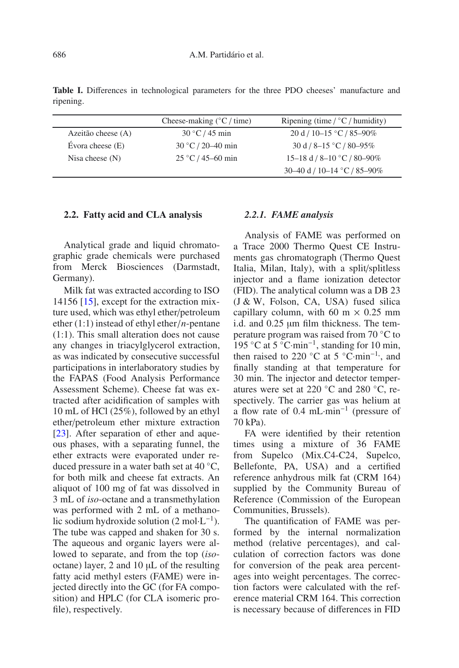|                    | Cheese-making $(^{\circ}C /$ time) | Ripening (time / $\degree$ C / humidity) |  |
|--------------------|------------------------------------|------------------------------------------|--|
| Azeitão cheese (A) | $30 °C / 45$ min                   | 20 d / 10–15 °C / 85–90%                 |  |
| Évora cheese (E)   | $30^{\circ}$ C / 20–40 min         | 30 d / 8-15 °C / 80-95%                  |  |
| Nisa cheese $(N)$  | $25 °C / 45 - 60$ min              | 15-18 d / 8-10 °C / 80-90%               |  |
|                    |                                    | 30–40 d / 10–14 °C / 85–90%              |  |

<span id="page-3-0"></span>**Table I.** Differences in technological parameters for the three PDO cheeses' manufacture and ripening.

#### **2.2. Fatty acid and CLA analysis**

Analytical grade and liquid chromatographic grade chemicals were purchased from Merck Biosciences (Darmstadt, Germany).

Milk fat was extracted according to ISO 14156 [\[15](#page-10-10)], except for the extraction mixture used, which was ethyl ether/petroleum ether (1:1) instead of ethyl ether/*n*-pentane (1:1). This small alteration does not cause any changes in triacylglycerol extraction, as was indicated by consecutive successful participations in interlaboratory studies by the FAPAS (Food Analysis Performance Assessment Scheme). Cheese fat was extracted after acidification of samples with 10 mL of HCl (25%), followed by an ethyl ether/petroleum ether mixture extraction [\[23](#page-10-11)]. After separation of ether and aqueous phases, with a separating funnel, the ether extracts were evaporated under reduced pressure in a water bath set at 40 ◦C, for both milk and cheese fat extracts. An aliquot of 100 mg of fat was dissolved in 3 mL of *iso*-octane and a transmethylation was performed with 2 mL of a methanolic sodium hydroxide solution  $(2 \text{ mol} \cdot \text{L}^{-1})$ . The tube was capped and shaken for 30 s. The aqueous and organic layers were allowed to separate, and from the top (*iso*octane) layer, 2 and 10 µL of the resulting fatty acid methyl esters (FAME) were injected directly into the GC (for FA composition) and HPLC (for CLA isomeric profile), respectively.

#### *2.2.1. FAME analysis*

Analysis of FAME was performed on a Trace 2000 Thermo Quest CE Instruments gas chromatograph (Thermo Quest Italia, Milan, Italy), with a split/splitless injector and a flame ionization detector (FID). The analytical column was a DB 23 (J & W, Folson, CA, USA) fused silica capillary column, with 60 m  $\times$  0.25 mm i.d. and 0.25 µm film thickness. The temperature program was raised from 70 ◦C to 195 °C at 5 °C·min<sup>-1</sup>, standing for 10 min, then raised to 220 °C at 5 °C·min<sup>-1</sup>, and finally standing at that temperature for 30 min. The injector and detector temperatures were set at 220  $\degree$ C and 280  $\degree$ C, respectively. The carrier gas was helium at a flow rate of 0.4 mL·min−<sup>1</sup> (pressure of 70 kPa).

FA were identified by their retention times using a mixture of 36 FAME from Supelco (Mix.C4-C24, Supelco, Bellefonte, PA, USA) and a certified reference anhydrous milk fat (CRM 164) supplied by the Community Bureau of Reference (Commission of the European Communities, Brussels).

The quantification of FAME was performed by the internal normalization method (relative percentages), and calculation of correction factors was done for conversion of the peak area percentages into weight percentages. The correction factors were calculated with the reference material CRM 164. This correction is necessary because of differences in FID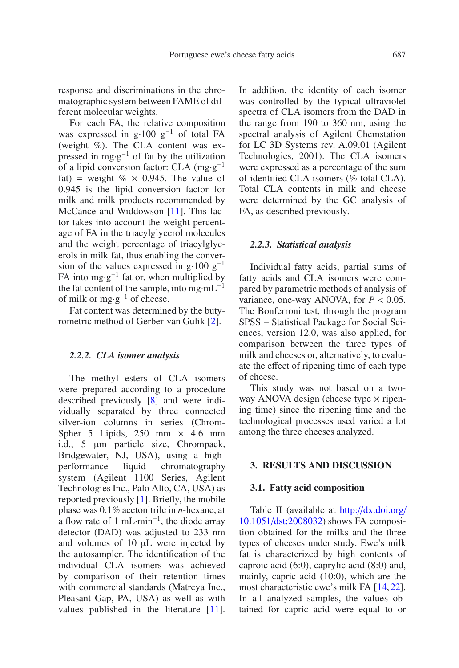response and discriminations in the chromatographic system between FAME of different molecular weights.

For each FA, the relative composition was expressed in g·100  $g^{-1}$  of total FA (weight %). The CLA content was expressed in mg⋅g<sup>-1</sup> of fat by the utilization of a lipid conversion factor: CLA  $(mg·g<sup>-1</sup>)$ fat) = weight  $\% \times 0.945$ . The value of 0.945 is the lipid conversion factor for milk and milk products recommended by McCance and Widdowson [\[11\]](#page-10-12). This factor takes into account the weight percentage of FA in the triacylglycerol molecules and the weight percentage of triacylglycerols in milk fat, thus enabling the conversion of the values expressed in g·100 g<sup>-1</sup> FA into mg⋅g<sup>-1</sup> fat or, when multiplied by the fat content of the sample, into mg⋅mL<sup>-1</sup> of milk or mg·g<sup>-1</sup> of cheese.

Fat content was determined by the butyrometric method of Gerber-van Gulik [\[2\]](#page-9-2).

#### *2.2.2. CLA isomer analysis*

The methyl esters of CLA isomers were prepared according to a procedure described previously [\[8](#page-10-13)] and were individually separated by three connected silver-ion columns in series (Chrom-Spher 5 Lipids,  $250$  mm  $\times$  4.6 mm i.d., 5 µm particle size, Chrompack, Bridgewater, NJ, USA), using a highperformance liquid chromatography system (Agilent 1100 Series, Agilent Technologies Inc., Palo Alto, CA, USA) as reported previously [\[1\]](#page-9-3). Briefly, the mobile phase was 0.1% acetonitrile in *n*-hexane, at a flow rate of 1 mL·min−1, the diode array detector (DAD) was adjusted to 233 nm and volumes of 10 µL were injected by the autosampler. The identification of the individual CLA isomers was achieved by comparison of their retention times with commercial standards (Matreya Inc., Pleasant Gap, PA, USA) as well as with values published in the literature [\[11\]](#page-10-12). In addition, the identity of each isomer was controlled by the typical ultraviolet spectra of CLA isomers from the DAD in the range from 190 to 360 nm, using the spectral analysis of Agilent Chemstation for LC 3D Systems rev. A.09.01 (Agilent Technologies, 2001). The CLA isomers were expressed as a percentage of the sum of identified CLA isomers (% total CLA). Total CLA contents in milk and cheese were determined by the GC analysis of FA, as described previously.

#### *2.2.3. Statistical analysis*

Individual fatty acids, partial sums of fatty acids and CLA isomers were compared by parametric methods of analysis of variance, one-way ANOVA, for  $P < 0.05$ . The Bonferroni test, through the program SPSS – Statistical Package for Social Sciences, version 12.0, was also applied, for comparison between the three types of milk and cheeses or, alternatively, to evaluate the effect of ripening time of each type of cheese.

This study was not based on a twoway ANOVA design (cheese type  $\times$  ripening time) since the ripening time and the technological processes used varied a lot among the three cheeses analyzed.

#### **3. RESULTS AND DISCUSSION**

#### **3.1. Fatty acid composition**

Table II (available at http://[dx.doi.org](http://dx.doi.org/10.1051/dst:2008032)/ 10.1051/[dst:2008032\)](http://dx.doi.org/10.1051/dst:2008032) shows FA composition obtained for the milks and the three types of cheeses under study. Ewe's milk fat is characterized by high contents of caproic acid (6:0), caprylic acid (8:0) and, mainly, capric acid (10:0), which are the most characteristic ewe's milk FA [\[14,](#page-10-14)[22\]](#page-10-1). In all analyzed samples, the values obtained for capric acid were equal to or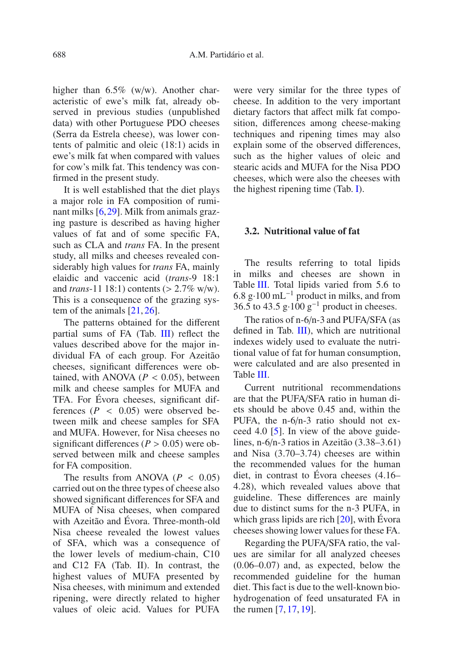higher than  $6.5\%$  (w/w). Another characteristic of ewe's milk fat, already observed in previous studies (unpublished data) with other Portuguese PDO cheeses (Serra da Estrela cheese), was lower contents of palmitic and oleic (18:1) acids in ewe's milk fat when compared with values for cow's milk fat. This tendency was confirmed in the present study.

It is well established that the diet plays a major role in FA composition of ruminant milks [\[6](#page-9-4)[,29](#page-11-3)]. Milk from animals grazing pasture is described as having higher values of fat and of some specific FA, such as CLA and *trans* FA. In the present study, all milks and cheeses revealed considerably high values for *trans* FA, mainly elaidic and vaccenic acid (*trans*-9 18:1 and *trans*-11 18:1) contents ( $> 2.7\%$  w/w). This is a consequence of the grazing system of the animals [\[21,](#page-10-15) [26](#page-10-16)].

The patterns obtained for the different partial sums of FA (Tab. [III\)](#page-6-0) reflect the values described above for the major individual FA of each group. For Azeitão cheeses, significant differences were obtained, with ANOVA ( $P < 0.05$ ), between milk and cheese samples for MUFA and TFA. For Évora cheeses, significant differences  $(P \leq 0.05)$  were observed between milk and cheese samples for SFA and MUFA. However, for Nisa cheeses no significant differences ( $P > 0.05$ ) were observed between milk and cheese samples for FA composition.

The results from ANOVA  $(P < 0.05)$ carried out on the three types of cheese also showed significant differences for SFA and MUFA of Nisa cheeses, when compared with Azeitão and Évora. Three-month-old Nisa cheese revealed the lowest values of SFA, which was a consequence of the lower levels of medium-chain, C10 and C12 FA (Tab. II). In contrast, the highest values of MUFA presented by Nisa cheeses, with minimum and extended ripening, were directly related to higher values of oleic acid. Values for PUFA were very similar for the three types of cheese. In addition to the very important dietary factors that affect milk fat composition, differences among cheese-making techniques and ripening times may also explain some of the observed differences, such as the higher values of oleic and stearic acids and MUFA for the Nisa PDO cheeses, which were also the cheeses with the highest ripening time  $(Tab, I)$  $(Tab, I)$ .

#### **3.2. Nutritional value of fat**

The results referring to total lipids in milks and cheeses are shown in Table [III.](#page-6-0) Total lipids varied from 5.6 to 6.8 g·100 mL−<sup>1</sup> product in milks, and from 36.5 to 43.5 g·100 g<sup>-1</sup> product in cheeses.

The ratios of n-6/n-3 and PUFA/SFA (as defined in Tab. [III\)](#page-6-0), which are nutritional indexes widely used to evaluate the nutritional value of fat for human consumption, were calculated and are also presented in Table [III.](#page-6-0)

Current nutritional recommendations are that the PUFA/SFA ratio in human diets should be above 0.45 and, within the PUFA, the n-6/n-3 ratio should not exceed 4.0 [\[5](#page-9-5)]. In view of the above guidelines, n-6/n-3 ratios in Azeitão (3.38–3.61) and Nisa (3.70–3.74) cheeses are within the recommended values for the human diet, in contrast to Évora cheeses (4.16– 4.28), which revealed values above that guideline. These differences are mainly due to distinct sums for the n-3 PUFA, in which grass lipids are rich  $[20]$ , with Évora cheeses showing lower values for these FA.

Regarding the PUFA/SFA ratio, the values are similar for all analyzed cheeses (0.06–0.07) and, as expected, below the recommended guideline for the human diet. This fact is due to the well-known biohydrogenation of feed unsaturated FA in the rumen [\[7,](#page-10-4) [17,](#page-10-8) [19\]](#page-10-6).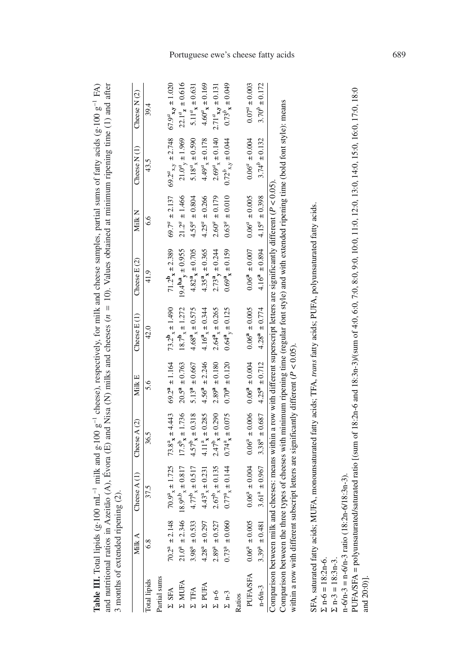|               | Milk A                      | Cheese $A(1)$ Cheese $A(2)$                                                               |                                                                             | Milk E                                | Cheese E(1)                             | Cheese $E(2)$                                                                                                                                          | Milk N                                | Cheese N(1)                                                                     | Cheese N (2)                                                  |
|---------------|-----------------------------|-------------------------------------------------------------------------------------------|-----------------------------------------------------------------------------|---------------------------------------|-----------------------------------------|--------------------------------------------------------------------------------------------------------------------------------------------------------|---------------------------------------|---------------------------------------------------------------------------------|---------------------------------------------------------------|
| Total lipids  | 6.8                         | 37.5                                                                                      | 36.5                                                                        | 5.6                                   | 42.0                                    | 41.9                                                                                                                                                   | 6.6                                   | 43.5                                                                            | 39.4                                                          |
| Partial sums  |                             |                                                                                           |                                                                             |                                       |                                         |                                                                                                                                                        |                                       |                                                                                 |                                                               |
| <b>Z SFA</b>  | $70.2^a \pm 2.148$          |                                                                                           | $70.9^{\circ}$ <sub>x</sub> ± 1.725 73.8 <sup>a</sup> <sub>x</sub> ± 4.443  | $69.2^a \pm 1.164$                    | $73.2^{\rm b}$ <sub>x</sub> $\pm$ 1.490 | $71.2^b$ <sub>x</sub> $\pm$ 2.389                                                                                                                      | $69.7^a \pm 2.137$                    | $69.2^{\alpha}$ <sub>x, y</sub> ± 2.748 $67.9^{\alpha}$ <sub>x, y</sub> ± 1.020 |                                                               |
| <b>Z MUFA</b> | $21.0^a \pm 2.346$          | $18.9^{a,b}$ <sub>x</sub> $\pm 0.817$                                                     | $17.5^{\circ}$ <sub>x</sub> $\pm$ 1.736                                     | $20.5^a \pm 0.763$                    | $18.7^{\rm b}$ <sub>x</sub> $\pm$ 1.272 | $19.4^{b,a}$ <sub>v</sub> $\pm$ 0.955                                                                                                                  | $21.2^a \pm 1.466$                    | $21.0^a$ <sub>y</sub> ± 1.969                                                   | $22.1^a$ <sub>z</sub> $\pm 0.616$                             |
| $\Sigma$ TFA  | $3.98^a \pm 0.533$          | $4.77^b$ <sub>x</sub> $\pm$ 0.517                                                         | $4.57^b$ <sub>x</sub> $\pm$ 0.318                                           | $5.13^a \pm 0.667$                    | $4.68^{\rm a}_{\rm x} \pm 0.575$        | $4.82^{\frac{9}{4}} \pm 0.705$                                                                                                                         | $4.55^a \pm 0.804$                    | $5.18^a$ <sub>x</sub> $\pm$ 0.590                                               | $5.11^a$ <sub>x</sub> $\pm$ 0.631                             |
| <b>Z PUFA</b> | $4.28^a \pm 0.297$          | $4.43^a$ <sub>x</sub> $\pm$ 0.231                                                         | $4.11^a$ <sub>x</sub> $\pm$ 0.285                                           | $4.56^a \pm 2.246$                    | $4.16^a$ <sub>x</sub> $\pm$ 0.344       | $4.35a$ <sub>x</sub> $\pm$ 0.365                                                                                                                       | $4.25^a \pm 0.266$                    | $4.49^a$ <sub>x</sub> $\pm$ 0.178                                               | $4.60^a_{\text{x}} \pm 0.169$                                 |
| $\Sigma$ n-6  | $2.89^a \pm 0.527$          | $2.67^b$ <sub>x</sub> $\pm$ 0.135                                                         | $2.47^{\circ}$ <sub>x</sub> $\pm$ 0.290                                     | $2.89^{\rm a} \pm 0.180$              | $2.64^a$ <sub>x</sub> $\pm$ 0.265       | $2.73^a$ <sub>v</sub> $\pm$ 0.244                                                                                                                      | $2.60^a \pm 0.179$                    |                                                                                 | $2.69^a$ <sub>x</sub> ± 0.140 $2.71^a$ <sub>x,y</sub> ± 0.131 |
| $\Sigma$ n-3  | $0.73^a \pm 0.060$          | $0.77^a$ <sub>x</sub> $\pm$ 0.144                                                         | $0.74^a$ <sub>x</sub> $\pm$ 0.075                                           | $0.70^{\rm a} \pm 0.120$              | $0.64^a$ <sub>v</sub> $\pm$ 0.125       | $0.69^a$ <sub>x</sub> $\pm$ 0.159                                                                                                                      | $0.63^a \pm 0.010$                    | $0.72^{b}$ <sub>x,y</sub> $\pm 0.044$                                           | $0.73^{b}$ <sub>x</sub> $\pm 0.049$                           |
| Ratios        |                             |                                                                                           |                                                                             |                                       |                                         |                                                                                                                                                        |                                       |                                                                                 |                                                               |
|               | PUFA/SFA $0.06^a \pm 0.005$ |                                                                                           | $0.06^a \pm 0.004$ $0.06^a \pm 0.006$ $0.06^a \pm 0.004$ $0.06^a \pm 0.005$ |                                       |                                         |                                                                                                                                                        | $0.06^a \pm 0.007$ $0.06^a \pm 0.005$ | $0.06^a \pm 0.004$                                                              | $0.07^a \pm 0.003$                                            |
| $n-6/n-3$     | $3.39^{a} \pm 0.481$        | $3.61^a \pm 0.967$                                                                        |                                                                             | $3.38^a \pm 0.687$ $4.25^a \pm 0.712$ | $4.28^a \pm 0.774$                      | $4.16^{\mathbf{a}} \pm 0.894$                                                                                                                          | $4.15^a \pm 0.398$                    | $3.74^b \pm 0.132$                                                              | $3.70^b \pm 0.172$                                            |
|               | Comparison between milk     |                                                                                           |                                                                             |                                       |                                         | and cheeses: means within a row with different superscript letters are significantly different ( $P < 0.05$ )                                          |                                       |                                                                                 |                                                               |
|               |                             | within a row with different subscript letters are significantly different ( $P < 0.05$ ). |                                                                             |                                       |                                         | Comparison between the three types of cheeses with minimum ripening time (regular font style) and with extended ripening time (bold font style): means |                                       |                                                                                 |                                                               |
|               |                             |                                                                                           |                                                                             |                                       |                                         |                                                                                                                                                        |                                       |                                                                                 |                                                               |
|               |                             |                                                                                           |                                                                             |                                       |                                         |                                                                                                                                                        |                                       |                                                                                 |                                                               |

Table III. Total lipids (g-100 mL<sup>-1</sup> milk and g-100  $g^{-1}$  cheese), respectively, for milk and cheese samples, partial sums of fatty acids (g-100  $g^{-1}$  FA) **Table III.** Total lipids (g·100 mL−1 milk and g·100 g−1 cheese), respectively, for milk and cheese samples, partial sums of fatty acids (g·100 g−1 FA) and nutritional ratios in Azeitão (A), Évora (E) and Nisa (N) milks and cheeses (*n* = 10). Values obtained at minimum ripening time (1) and after

<span id="page-6-0"></span>SFA, saturated fatty acids; MUFA, monounsaturated fatty acids; TFA, trans fatty acids; PUFA, polyunsaturated fatty acids. SFA, saturated fatty acids; MUFA, monounsaturated fatty acids; TFA, *trans* fatty acids; PUFA, polyunsaturated fatty acids.  $\Sigma$  n-6 = 18:2n-6.  $\Sigma$  n-6 = 18:2n-6.

 $\Sigma$  n-3 = 18:3n-3.  $\Sigma$  n-3 =  $18:3n-3$ .

 $n-6/n-3 = n-6/n-3$  ratio (18:2n-6/18:3n-3). n-6/n-3 = n-6/n-3 ratio (18:2n-6/18:3n-3).

PUFA/SFA = polyunsaturated/saturated ratio [(sum of 18:2n-6 and 18:3n-3)/(sum of 4:0, 6:0, 7:0, 8:0, 9:0, 10:0, 11:0, 12:0, 13:0, 14:0, 15:0, 16:0, 17:0, 18:0 PUFA/SFA = polyunsaturated/saturated ratio [(sum of 18:2n-6 and 18:3n-3)/(sum of 4:0, 6:0, 7:0, 8:0, 9:0, 10:0, 11:0, 12:0, 13:0, 14:0, 15:0, 16:0, 17:0, 18:0 and 20:0)]. and 20:0)].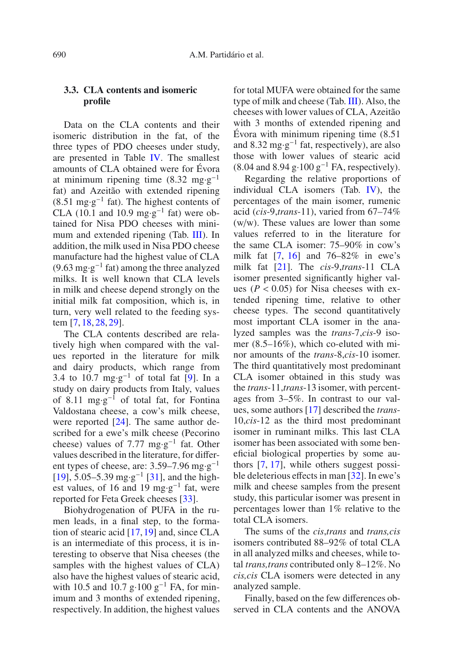# **3.3. CLA contents and isomeric profile**

Data on the CLA contents and their isomeric distribution in the fat, of the three types of PDO cheeses under study, are presented in Table [IV.](#page-8-0) The smallest amounts of CLA obtained were for Évora at minimum ripening time (8.32 mg·g<sup>-1</sup> fat) and Azeitão with extended ripening (8.51 mg·g−<sup>1</sup> fat). The highest contents of CLA (10.1 and 10.9 mg·g<sup>-1</sup> fat) were obtained for Nisa PDO cheeses with minimum and extended ripening (Tab. [III\)](#page-6-0). In addition, the milk used in Nisa PDO cheese manufacture had the highest value of CLA (9.63 mg·g−<sup>1</sup> fat) among the three analyzed milks. It is well known that CLA levels in milk and cheese depend strongly on the initial milk fat composition, which is, in turn, very well related to the feeding system [\[7,](#page-10-4) [18](#page-10-18), [28](#page-11-0), [29\]](#page-11-3).

The CLA contents described are relatively high when compared with the values reported in the literature for milk and dairy products, which range from 3.4 to  $10.7 \text{ mg} \cdot \text{g}^{-1}$  of total fat [\[9](#page-10-19)]. In a study on dairy products from Italy, values of 8.11 mg·g<sup>-1</sup> of total fat, for Fontina Valdostana cheese, a cow's milk cheese, were reported [\[24\]](#page-10-3). The same author described for a ewe's milk cheese (Pecorino cheese) values of 7.77 mg·g<sup>-1</sup> fat. Other values described in the literature, for different types of cheese, are:  $3.59-7.96$  mg·g<sup>-1</sup> [\[19](#page-10-6)], 5.05–5.39 mg·g<sup>-1</sup> [\[31\]](#page-11-4), and the highest values, of 16 and 19 mg·g−<sup>1</sup> fat, were reported for Feta Greek cheeses [\[33](#page-11-5)].

Biohydrogenation of PUFA in the rumen leads, in a final step, to the formation of stearic acid [\[17,](#page-10-8)[19\]](#page-10-6) and, since CLA is an intermediate of this process, it is interesting to observe that Nisa cheeses (the samples with the highest values of CLA) also have the highest values of stearic acid, with 10.5 and 10.7 g⋅100 g<sup>-1</sup> FA, for minimum and 3 months of extended ripening, respectively. In addition, the highest values for total MUFA were obtained for the same type of milk and cheese (Tab. [III\)](#page-6-0). Also, the cheeses with lower values of CLA, Azeitão with 3 months of extended ripening and Évora with minimum ripening time (8.51 and 8.32 mg⋅g<sup>-1</sup> fat, respectively), are also those with lower values of stearic acid  $(8.04 \text{ and } 8.94 \text{ g} \cdot 100 \text{ g}^{-1} \text{ FA}, \text{respectively}).$ 

Regarding the relative proportions of individual CLA isomers (Tab. [IV\)](#page-8-0), the percentages of the main isomer, rumenic acid (*cis*-9,*trans*-11), varied from 67–74% (w/w). These values are lower than some values referred to in the literature for the same CLA isomer: 75–90% in cow's milk fat [\[7](#page-10-4), [16](#page-10-7)] and 76–82% in ewe's milk fat [\[21\]](#page-10-15). The *cis*-9,*trans*-11 CLA isomer presented significantly higher values ( $P < 0.05$ ) for Nisa cheeses with extended ripening time, relative to other cheese types. The second quantitatively most important CLA isomer in the analyzed samples was the *trans*-7,*cis*-9 isomer (8.5–16%), which co-eluted with minor amounts of the *trans*-8,*cis*-10 isomer. The third quantitatively most predominant CLA isomer obtained in this study was the *trans*-11,*trans*-13 isomer, with percentages from 3–5%. In contrast to our values, some authors [\[17](#page-10-8)] described the *trans*-10,*cis*-12 as the third most predominant isomer in ruminant milks. This last CLA isomer has been associated with some beneficial biological properties by some authors [\[7,](#page-10-4) [17](#page-10-8)], while others suggest possible deleterious effects in man [\[32\]](#page-11-1). In ewe's milk and cheese samples from the present study, this particular isomer was present in percentages lower than 1% relative to the total CLA isomers.

The sums of the *cis*,*trans* and *trans,cis* isomers contributed 88–92% of total CLA in all analyzed milks and cheeses, while total *trans,trans* contributed only 8–12%. No *cis,cis* CLA isomers were detected in any analyzed sample.

Finally, based on the few differences observed in CLA contents and the ANOVA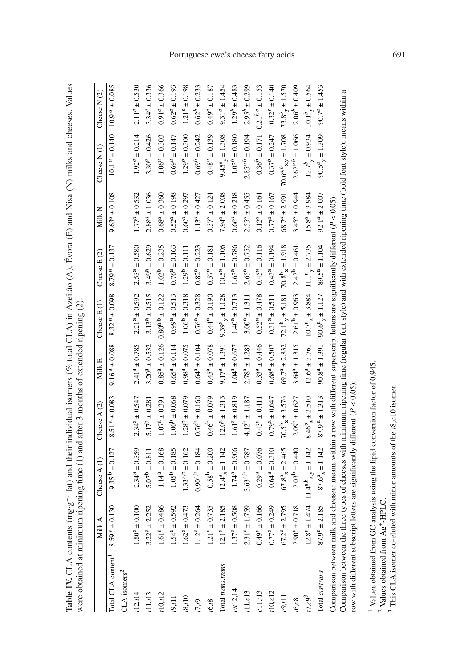| ì<br>$\limsup_{n\to\infty}$<br>י<br>ג                                                                                                                                                                                                     |                                                                                                                                          |
|-------------------------------------------------------------------------------------------------------------------------------------------------------------------------------------------------------------------------------------------|------------------------------------------------------------------------------------------------------------------------------------------|
| $(1 + 1)$ , $\pm 1$ and $(1 - 1)$<br>$\sim$ (E) $\sim$<br>$\Lambda$ ) $\Gamma$<br>$\mathcal{U}_{\alpha}$ total $\bigcap_{\alpha} A$ in $A$ reita<br>$1.41$ and $2.44$ .<br>le rome over<br>.<br>.<br>any dia 1<br>$(mg \cdot g^{-1}$ fat) | ز با<br>0<br>¢<br>$0 + \alpha v + \alpha w$<br><b>CONGRAPH AND AND ARRA</b><br>$-1$ $-1$ with derivative $-$<br>$\overline{\phantom{a}}$ |
| ֓֓֓֓֓֓֓֓֓֓֓֓׆֬                                                                                                                                                                                                                            |                                                                                                                                          |

|                                                                                                                                                                                                                                     | ∢<br>Milk                    | Cheese A (1)                                                | Cheese A (2)                            | Milk E                   | Cheese E(1)                                                                                             | Cheese E (2)                                                | Milk N             | Cheese N(1)                                                                    | Cheese N(2)                                                                     |
|-------------------------------------------------------------------------------------------------------------------------------------------------------------------------------------------------------------------------------------|------------------------------|-------------------------------------------------------------|-----------------------------------------|--------------------------|---------------------------------------------------------------------------------------------------------|-------------------------------------------------------------|--------------------|--------------------------------------------------------------------------------|---------------------------------------------------------------------------------|
| Total CLA content                                                                                                                                                                                                                   | 0.130<br>$8.59^{a}$ ±        | $9.35^{b} \pm 0.127$                                        | $8.51^{a} \pm 0.083$                    |                          | 9.16 <sup>a</sup> ± 0.088 8.32 <sup>a</sup> ± 0.098 8.79 <sup>a</sup> ± 0.137                           |                                                             | $9.63^a \pm 0.108$ |                                                                                | $10.1^a \pm 0.140$ $10.9^a \pm 0.085$                                           |
| <b>CLA</b> isomers                                                                                                                                                                                                                  |                              |                                                             |                                         |                          |                                                                                                         |                                                             |                    |                                                                                |                                                                                 |
| 112,114                                                                                                                                                                                                                             | 0.100<br>$1.80^{a} \pm 1$    | $2.34^{a} \pm 0.359$                                        | $2.34^a \pm 0.547$                      |                          | $2.41a \pm 0.785$ $2.21a \pm 0.592$ $2.53a \pm 0.580$                                                   |                                                             | $1.77^a \pm 0.532$ | $1.92^a \pm 0.214$                                                             | $2.11^a \pm 0.530$                                                              |
| t1, t13                                                                                                                                                                                                                             | 2.252<br>$3.22^{a}$ ±        | $5.07^b \pm 0.811$                                          | $5.17^b \pm 0.281$                      | $3.20^{a} \pm 0.532$     | $3.13^{\text{a}}\pm0.515$                                                                               | $3.49^{\rm a} \pm 0.629$                                    | $2.88^a \pm 1.036$ | $3.30^{a} \pm 0.426$                                                           | $3.34^{a} \pm 0.336$                                                            |
| t10, t12                                                                                                                                                                                                                            | 0.486<br>$1.61^a \pm$        | $1.14^a \pm 0.168$                                          | $1.07^a \pm 0.391$                      |                          | $0.85^a \pm 0.126$ $0.80^{a,b} \pm 0.122$                                                               | $1.02^b \pm 0.235$                                          | $0.68^a \pm 0.360$ | $1.06^a \pm 0.303$                                                             | $0.91^a \pm 0.366$                                                              |
| 11(1)                                                                                                                                                                                                                               | 0.592<br>$1.54^{a}$ ±        | $1.05^b \pm 0.185$                                          | $1.00^{b} \pm 0.068$                    | $0.65^a \pm 0.114$       | $0.99^{\rm a} \pm 0.513$                                                                                | $0.76^a \pm 0.163$                                          | $0.52^a \pm 0.198$ | $0.69^a \pm 0.147$                                                             | $0.62^a \pm 0.193$                                                              |
| 18,110                                                                                                                                                                                                                              | 0.473<br>$1.62^a \pm$        | $1.33^{a,b} \pm 0.162$                                      | $1.28^{b} \pm 0.079$                    | $0.98^{\rm a} \pm 0.075$ | $1.06^b \pm 0.318$                                                                                      | $1.29^{\rm b} \pm 0.111$                                    | $0.60^a \pm 0.297$ | $1.29^{b} \pm 0.300$                                                           | $1.21^b \pm 0.198$                                                              |
| $\mathcal{L}, \mathcal{D}$                                                                                                                                                                                                          | 0.264<br>$1.12^{a}$ ±        | $0.90^{a,b} \pm 0.184$                                      | $0.76^b \pm 0.160$                      | $0.64^a \pm 0.104$       | $0.76^a \pm 0.328$                                                                                      | $0.82^{\rm a} \pm 0.223$                                    | $1.13^a \pm 0.427$ | $0.69^b \pm 0.242$                                                             | $0.62^b \pm 0.233$                                                              |
| 16,18                                                                                                                                                                                                                               | 0.735<br>$1.21^{a}$ ±        | $0.58^{\rm b} \pm 0.200$                                    | $0.46^{\circ} \pm 0.079$                | $0.45^a \pm 0.078$       | $0.44^a \pm 0.190$                                                                                      | $0.57^a \pm 0.181$                                          | $0.37^a \pm 0.124$ | $0.48^a \pm 0.139$                                                             | $0.49^a \pm 0.187$                                                              |
| Total trans, trans                                                                                                                                                                                                                  | 2.185<br>$12.1^{a} \pm 1$    | $12.4^a$ <sub>x</sub> $\pm$ 1.142                           | $12.0^a \pm 1.313$                      | $9.17^a \pm 1.391$       | $9.39^{a}$ <sub>v</sub> $\pm$ 1.128                                                                     | $10.5^a \pm 1.106$                                          | $7.94^a \pm 2.008$ | $9.45^a$ <sub>y</sub> $\pm$ 1.308                                              | $9.31^a \pm 1.454$                                                              |
| c/t12,14                                                                                                                                                                                                                            | 0.508<br>$1.37^{a} \pm 0$    | $1.74^a \pm 0.906$                                          | $1.61^a \pm 0.819$                      | $1.04^a \pm 0.677$       | $1.40^2 \pm 0.713$                                                                                      | $1.63^a \pm 0.786$                                          | $0.66^a \pm 0.218$ | $1.03^{b} \pm 0.180$                                                           | $1.29^{b} \pm 0.483$                                                            |
| t1, c13                                                                                                                                                                                                                             | $2.31a \pm 1.759$            | $3.63^{a,b} \pm 0.787$                                      | $4.12^b \pm 1.187$                      | $2.78^a \pm 1.283$       | $3.00^{a} \pm 1.311$                                                                                    | $2.65^{\rm a} \pm 0.752$                                    | $2.55^a \pm 0.455$ | $2.85^{a,b} \pm 0.194$                                                         | $2.95^{b} \pm 0.299$                                                            |
| $c11,t13$                                                                                                                                                                                                                           | 0.166<br>$0.49^{a}$ ±        | $0.29^a \pm 0.076$                                          | $0.43^a \pm 0.411$                      | $0.33^{a} \pm 0.446$     | $0.52^{\rm a} \pm 0.478$                                                                                | $0.45^a \pm 0.116$                                          | $0.12^a \pm 0.164$ |                                                                                | $0.36^b \pm 0.171$ $0.21^{b,a} \pm 0.153$                                       |
| t10, c12                                                                                                                                                                                                                            | 0.249<br>$0.77^{a} \pm 0.02$ | $0.64^a \pm 0.310$                                          | $0.79^a \pm 0.647$                      | $0.68^{\rm a} \pm 0.507$ |                                                                                                         | $0.31^{\mathbf{a}} \pm 0.511$ $0.43^{\mathbf{a}} \pm 0.194$ | $0.77^a \pm 0.167$ |                                                                                | $0.37^b \pm 0.247$ $0.32^b \pm 0.140$                                           |
| c9, 11                                                                                                                                                                                                                              | 2.795<br>$67.2^a \pm 2$      | $67.8^a$ <sub>x</sub> $\pm$ 2.465                           | $70.5^{\circ}$ <sub>x</sub> $\pm$ 3.576 |                          | 69.7 <sup>a</sup> ± 2.832 72.1 <sup>b</sup> <sub>y</sub> ± 5.181 70.8 <sup>b</sup> <sub>x</sub> ± 1.918 |                                                             | $68.7^a \pm 2.991$ | $70.6^{a,b}$ <sub>x,y</sub> ± 1.708 $73.8^b$ <sub>y</sub> ± 1.570              |                                                                                 |
| 16, c8                                                                                                                                                                                                                              | 0.718<br>$2.90^a \pm 0$      | $2.03^{b} \pm 0.440$                                        | $2.09^b \pm 0.627$                      |                          | $3.64^{\mathbf{a}} \pm 1.315$ $2.61^{\mathbf{b}} \pm 0.963$ $2.42^{\mathbf{b}} \pm 0.461$               |                                                             | $3.45^a \pm 0.944$ | $2.62^{a,b} \pm 1.066$                                                         | $2.06^{b} \pm 0.409$                                                            |
| $t7, c9^3$                                                                                                                                                                                                                          |                              | $12.8^a \pm 1.474$ $11.4^{a,b}$ <sub>x, y</sub> $\pm 1.142$ | $8.46^b$ <sub>x</sub> ± 2.510           |                          | $12.6^{\mathbf{a}} \pm 3.761 \quad 10.7^{\mathbf{a}} \pm 3.884 \quad 11.1^{\mathbf{a}} \pm 2.735$       |                                                             | $15.8^a \pm 3.984$ | $12.7^{b}$ <sub>y</sub> $\pm$ 0.934 10.1 <sup>b</sup> <sub>y</sub> $\pm$ 0.564 |                                                                                 |
| Total cis/trans                                                                                                                                                                                                                     | 2.185<br>$87.9^a \pm$        | $87.6^a$ <sub>x</sub> ± 1.142                               | $87.9^{\text{ a}} \pm 1.313$            |                          | $90.8^{\mathbf{a}} \pm 1.391$ $90.6^{\mathbf{a}}$ $\vee \pm 1.127$ $89.5^{\mathbf{a}} \pm 1.104$        |                                                             | $92.1^a \pm 2.007$ |                                                                                | 90.5 <sup><math>a</math></sup> y ± 1.309 90.7 <sup><math>a</math></sup> ± 1.453 |
| Comparison between milk and cheeses: means within a row with different superscript letters are significantly different $(P < 0.05)$ .<br>Comparison between the three types of cheeses with minimum ripening time (centlar font str |                              |                                                             |                                         |                          |                                                                                                         |                                                             |                    |                                                                                |                                                                                 |

Comparison between the three types of cheeses with minimum ripening time (regular font style) and with extended ripening time (bold font style): means within a time (regular font style) and with extended ripening time (bold font style): means within a  $L$ omparison between the time types of cheeses with minimum ripening row with different subscript letters are significantly different  $(P < 0.05)$ . row with different subscript letters are significantly different (

<span id="page-8-0"></span><sup>&</sup>lt;sup>1</sup> Values obtained from GC analysis using the lipid conversion factor of 0.945. Values obtained from GC analysis using the lipid conversion factor of 0.945. 2 Values obtained from Ag+-HPLC. 3 This CLA isomer co-eluted with minor amounts of the *t*8,c10 isomer.

<sup>&</sup>lt;sup>2</sup> Values obtained from  $Ag^+$ -HPLC.

<sup>&</sup>lt;sup>3</sup> This CLA isomer co-eluted with minor amounts of the  $\ell8$ ,c10 isomer.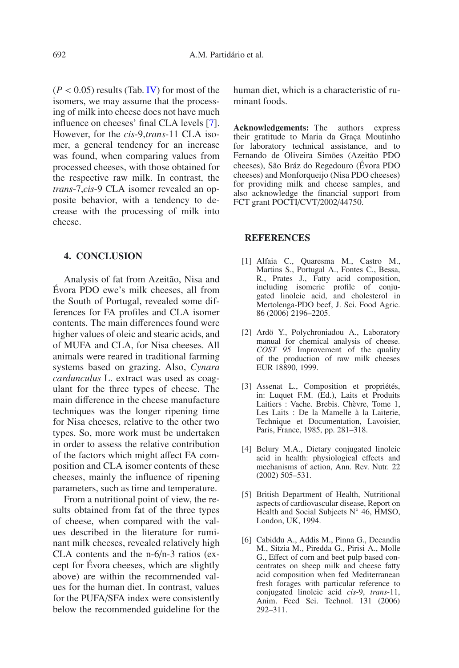$(P < 0.05)$  results (Tab. [IV\)](#page-8-0) for most of the isomers, we may assume that the processing of milk into cheese does not have much influence on cheeses' final CLA levels [\[7](#page-10-4)]. However, for the *cis*-9,*trans*-11 CLA isomer, a general tendency for an increase was found, when comparing values from processed cheeses, with those obtained for the respective raw milk. In contrast, the *trans*-7,*cis*-9 CLA isomer revealed an opposite behavior, with a tendency to decrease with the processing of milk into cheese.

### **4. CONCLUSION**

Analysis of fat from Azeitão, Nisa and Évora PDO ewe's milk cheeses, all from the South of Portugal, revealed some differences for FA profiles and CLA isomer contents. The main differences found were higher values of oleic and stearic acids, and of MUFA and CLA, for Nisa cheeses. All animals were reared in traditional farming systems based on grazing. Also, *Cynara cardunculus* L. extract was used as coagulant for the three types of cheese. The main difference in the cheese manufacture techniques was the longer ripening time for Nisa cheeses, relative to the other two types. So, more work must be undertaken in order to assess the relative contribution of the factors which might affect FA composition and CLA isomer contents of these cheeses, mainly the influence of ripening parameters, such as time and temperature.

From a nutritional point of view, the results obtained from fat of the three types of cheese, when compared with the values described in the literature for ruminant milk cheeses, revealed relatively high CLA contents and the n-6/n-3 ratios (except for Évora cheeses, which are slightly above) are within the recommended values for the human diet. In contrast, values for the PUFA/SFA index were consistently below the recommended guideline for the human diet, which is a characteristic of ruminant foods.

**Acknowledgements:** The authors express their gratitude to Maria da Graça Moutinho for laboratory technical assistance, and to Fernando de Oliveira Simões (Azeitão PDO cheeses), São Bráz do Regedouro (Évora PDO cheeses) and Monforqueijo (Nisa PDO cheeses) for providing milk and cheese samples, and also acknowledge the financial support from FCT grant POCTI/CVT/2002/44750.

#### **REFERENCES**

- <span id="page-9-3"></span>[1] Alfaia C., Quaresma M., Castro M., Martins S., Portugal A., Fontes C., Bessa, R., Prates J., Fatty acid composition, including isomeric profile of conjugated linoleic acid, and cholesterol in Mertolenga-PDO beef, J. Sci. Food Agric. 86 (2006) 2196–2205.
- <span id="page-9-2"></span>[2] Ardö Y., Polychroniadou A., Laboratory manual for chemical analysis of cheese. *COST 95* Improvement of the quality of the production of raw milk cheeses EUR 18890, 1999.
- <span id="page-9-0"></span>[3] Assenat L., Composition et propriétés, in: Luquet F.M. (Ed.), Laits et Produits Laitiers : Vache. Brebis. Chèvre, Tome 1, Les Laits : De la Mamelle à la Laiterie, Technique et Documentation, Lavoisier, Paris, France, 1985, pp. 281–318.
- <span id="page-9-1"></span>[4] Belury M.A., Dietary conjugated linoleic acid in health: physiological effects and mechanisms of action, Ann. Rev. Nutr. 22 (2002) 505–531.
- <span id="page-9-5"></span>[5] British Department of Health, Nutritional aspects of cardiovascular disease, Report on Health and Social Subjects N° 46, HMSO, London, UK, 1994.
- <span id="page-9-4"></span>[6] Cabiddu A., Addis M., Pinna G., Decandia M., Sitzia M., Piredda G., Pirisi A., Molle G., Effect of corn and beet pulp based concentrates on sheep milk and cheese fatty acid composition when fed Mediterranean fresh forages with particular reference to conjugated linoleic acid *cis*-9, *trans*-11, Anim. Feed Sci. Technol. 131 (2006) 292–311.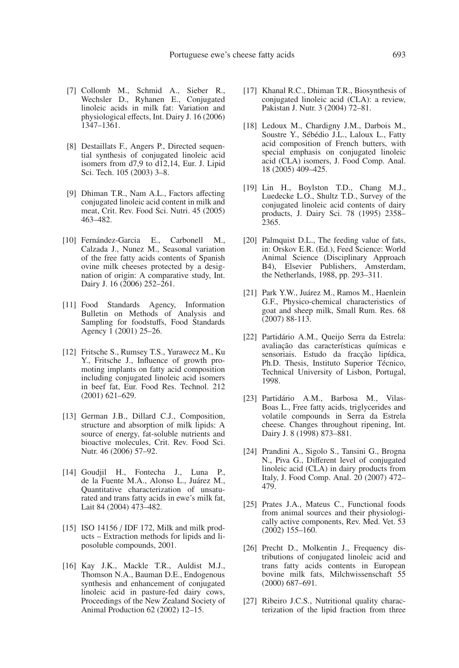- <span id="page-10-4"></span>[7] Collomb M., Schmid A., Sieber R., Wechsler D., Ryhanen E., Conjugated linoleic acids in milk fat: Variation and physiological effects, Int. Dairy J. 16 (2006) 1347–1361.
- <span id="page-10-13"></span>[8] Destaillats F., Angers P., Directed sequential synthesis of conjugated linoleic acid isomers from d7,9 to d12,14, Eur. J. Lipid Sci. Tech. 105 (2003) 3–8.
- <span id="page-10-19"></span>[9] Dhiman T.R., Nam A.L., Factors affecting conjugated linoleic acid content in milk and meat, Crit. Rev. Food Sci. Nutri. 45 (2005) 463–482.
- <span id="page-10-2"></span>[10] Fernández-Garcia E., Carbonell M., Calzada J., Nunez M., Seasonal variation of the free fatty acids contents of Spanish ovine milk cheeses protected by a designation of origin: A comparative study, Int. Dairy J. 16 (2006) 252–261.
- <span id="page-10-12"></span>[11] Food Standards Agency, Information Bulletin on Methods of Analysis and Sampling for foodstuffs, Food Standards Agency 1 (2001) 25–26.
- [12] Fritsche S., Rumsey T.S., Yurawecz M., Ku Y., Fritsche J., Influence of growth promoting implants on fatty acid composition including conjugated linoleic acid isomers in beef fat, Eur. Food Res. Technol. 212 (2001) 621–629.
- <span id="page-10-0"></span>[13] German J.B., Dillard C.J., Composition, structure and absorption of milk lipids: A source of energy, fat-soluble nutrients and bioactive molecules, Crit. Rev. Food Sci. Nutr. 46 (2006) 57–92.
- <span id="page-10-14"></span>[14] Goudjil H., Fontecha J., Luna P., de la Fuente M.A., Alonso L., Juárez M., Quantitative characterization of unsaturated and trans fatty acids in ewe's milk fat, Lait 84 (2004) 473–482.
- <span id="page-10-10"></span>[15] ISO 14156 / IDF 172, Milk and milk products – Extraction methods for lipids and liposoluble compounds, 2001.
- <span id="page-10-7"></span>[16] Kay J.K., Mackle T.R., Auldist M.J., Thomson N.A., Bauman D.E., Endogenous synthesis and enhancement of conjugated linoleic acid in pasture-fed dairy cows, Proceedings of the New Zealand Society of Animal Production 62 (2002) 12–15.
- <span id="page-10-8"></span>[17] Khanal R.C., Dhiman T.R., Biosynthesis of conjugated linoleic acid (CLA): a review, Pakistan J. Nutr. 3 (2004) 72–81.
- <span id="page-10-18"></span>[18] Ledoux M., Chardigny J.M., Darbois M., Soustre Y., Sébédio J.L., Laloux L., Fatty acid composition of French butters, with special emphasis on conjugated linoleic acid (CLA) isomers, J. Food Comp. Anal. 18 (2005) 409–425.
- <span id="page-10-6"></span>[19] Lin H., Boylston T.D., Chang M.J., Luedecke L.O., Shultz T.D., Survey of the conjugated linoleic acid contents of dairy products, J. Dairy Sci. 78 (1995) 2358– 2365.
- <span id="page-10-17"></span>[20] Palmquist D.L., The feeding value of fats, in: Orskov E.R. (Ed.), Feed Science: World Animal Science (Disciplinary Approach B4), Elsevier Publishers, Amsterdam, the Netherlands, 1988, pp. 293–311.
- <span id="page-10-15"></span>[21] Park Y.W., Juárez M., Ramos M., Haenlein G.F., Physico-chemical characteristics of goat and sheep milk, Small Rum. Res. 68 (2007) 88-113.
- <span id="page-10-1"></span>[22] Partidário A.M., Queijo Serra da Estrela: avaliação das características químicas e sensoriais. Estudo da fracção lipídica, Ph.D. Thesis, Instituto Superior Técnico, Technical University of Lisbon, Portugal, 1998.
- <span id="page-10-11"></span>[23] Partidário A.M., Barbosa M., Vilas-Boas L., Free fatty acids, triglycerides and volatile compounds in Serra da Estrela cheese. Changes throughout ripening, Int. Dairy J. 8 (1998) 873–881.
- <span id="page-10-3"></span>[24] Prandini A., Sigolo S., Tansini G., Brogna N., Piva G., Different level of conjugated linoleic acid (CLA) in dairy products from Italy, J. Food Comp. Anal. 20 (2007) 472– 479.
- <span id="page-10-5"></span>[25] Prates J.A., Mateus C., Functional foods from animal sources and their physiologically active components, Rev. Med. Vet. 53 (2002) 155–160.
- <span id="page-10-16"></span>[26] Precht D., Molkentin J., Frequency distributions of conjugated linoleic acid and trans fatty acids contents in European bovine milk fats, Milchwissenschaft 55 (2000) 687–691.
- <span id="page-10-9"></span>[27] Ribeiro J.C.S., Nutritional quality characterization of the lipid fraction from three